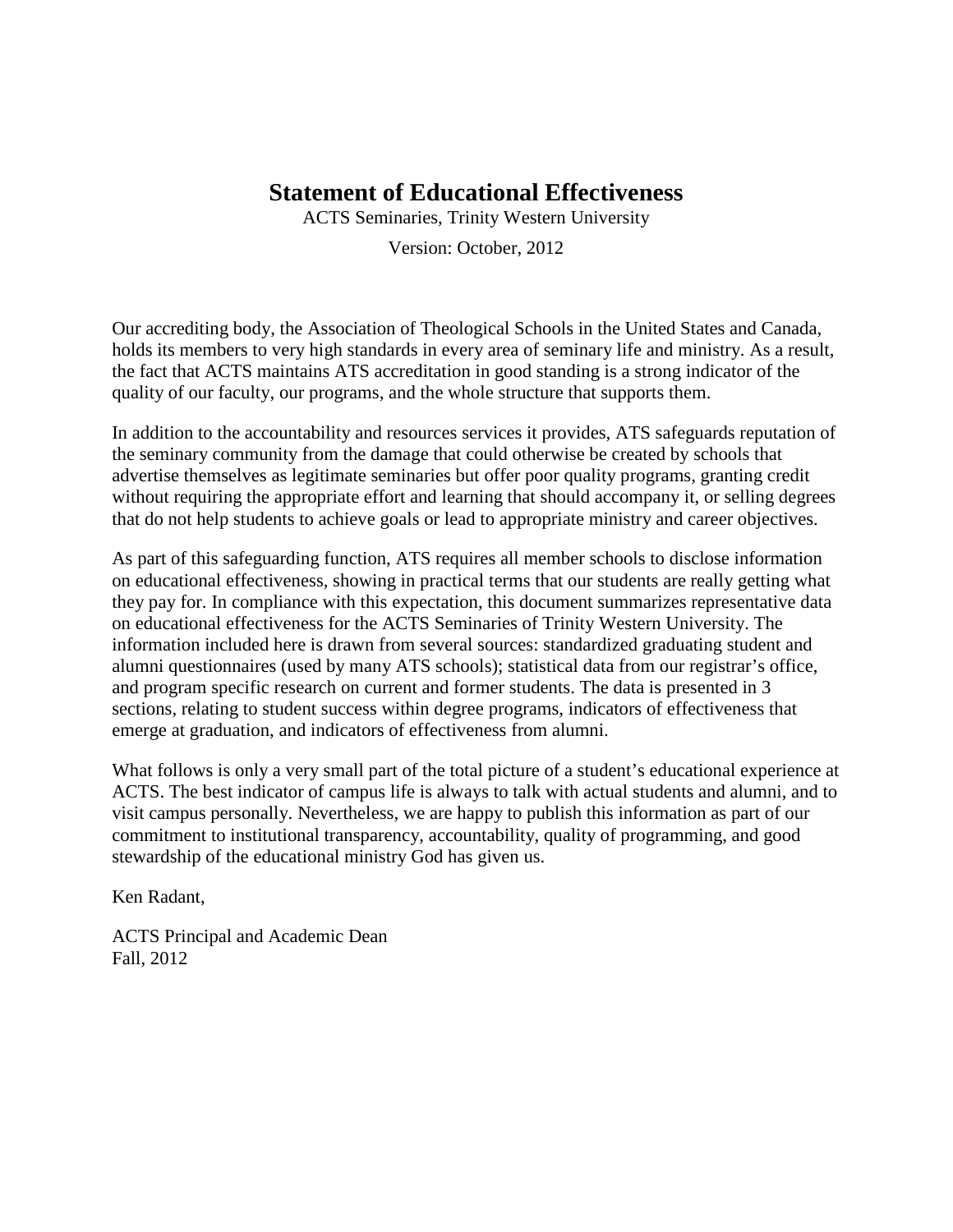# **Statement of Educational Effectiveness**

ACTS Seminaries, Trinity Western University

Version: October, 2012

Our accrediting body, the Association of Theological Schools in the United States and Canada, holds its members to very high standards in every area of seminary life and ministry. As a result, the fact that ACTS maintains ATS accreditation in good standing is a strong indicator of the quality of our faculty, our programs, and the whole structure that supports them.

In addition to the accountability and resources services it provides, ATS safeguards reputation of the seminary community from the damage that could otherwise be created by schools that advertise themselves as legitimate seminaries but offer poor quality programs, granting credit without requiring the appropriate effort and learning that should accompany it, or selling degrees that do not help students to achieve goals or lead to appropriate ministry and career objectives.

As part of this safeguarding function, ATS requires all member schools to disclose information on educational effectiveness, showing in practical terms that our students are really getting what they pay for. In compliance with this expectation, this document summarizes representative data on educational effectiveness for the ACTS Seminaries of Trinity Western University. The information included here is drawn from several sources: standardized graduating student and alumni questionnaires (used by many ATS schools); statistical data from our registrar's office, and program specific research on current and former students. The data is presented in 3 sections, relating to student success within degree programs, indicators of effectiveness that emerge at graduation, and indicators of effectiveness from alumni.

What follows is only a very small part of the total picture of a student's educational experience at ACTS. The best indicator of campus life is always to talk with actual students and alumni, and to visit campus personally. Nevertheless, we are happy to publish this information as part of our commitment to institutional transparency, accountability, quality of programming, and good stewardship of the educational ministry God has given us.

Ken Radant,

ACTS Principal and Academic Dean Fall, 2012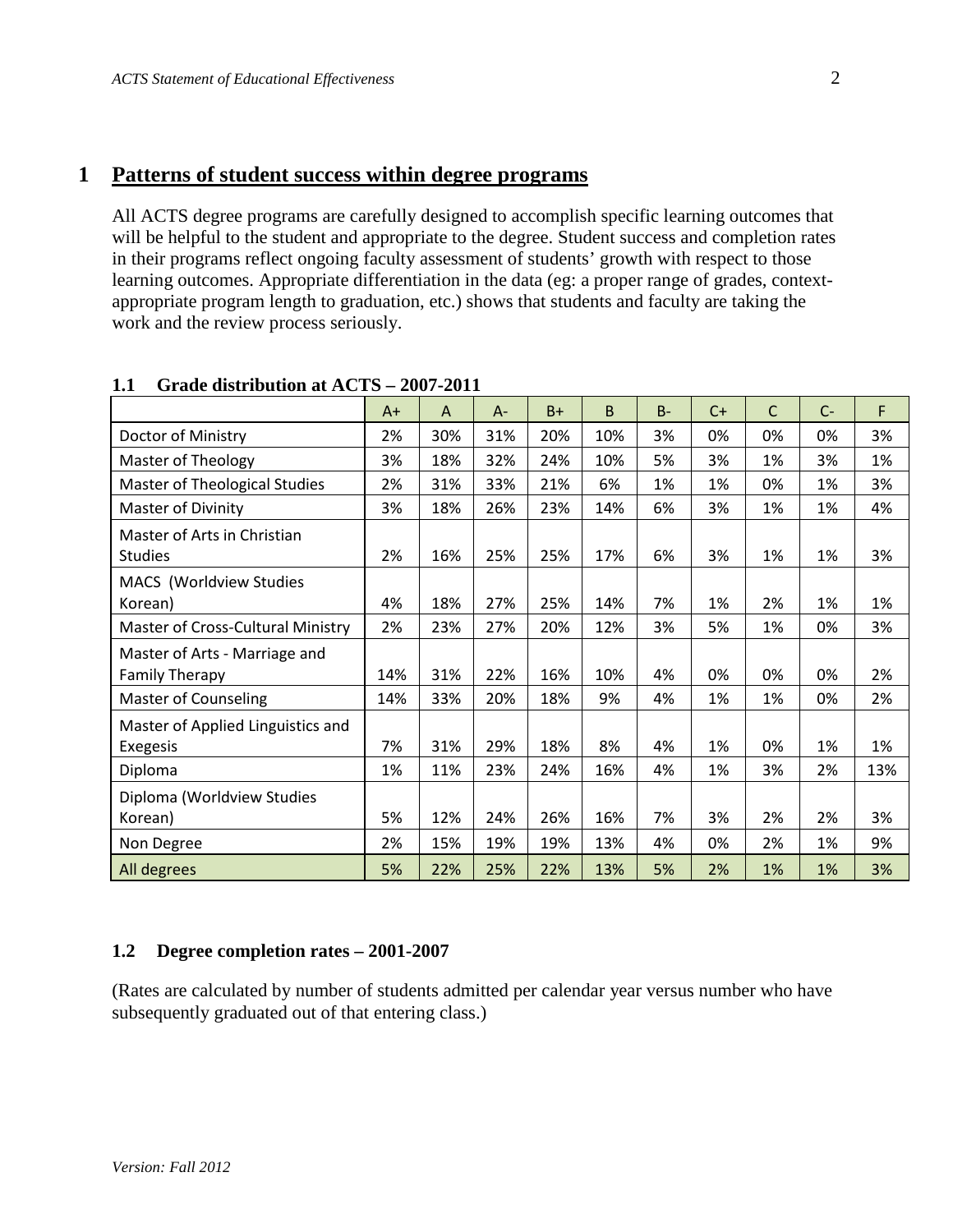### **1 Patterns of student success within degree programs**

All ACTS degree programs are carefully designed to accomplish specific learning outcomes that will be helpful to the student and appropriate to the degree. Student success and completion rates in their programs reflect ongoing faculty assessment of students' growth with respect to those learning outcomes. Appropriate differentiation in the data (eg: a proper range of grades, contextappropriate program length to graduation, etc.) shows that students and faculty are taking the work and the review process seriously.

|                                      | A+  | A   | A-  | $B+$ | <sub>B</sub> | $B -$ | $C+$ | C  | $C-$ | F   |
|--------------------------------------|-----|-----|-----|------|--------------|-------|------|----|------|-----|
| Doctor of Ministry                   | 2%  | 30% | 31% | 20%  | 10%          | 3%    | 0%   | 0% | 0%   | 3%  |
| Master of Theology                   | 3%  | 18% | 32% | 24%  | 10%          | 5%    | 3%   | 1% | 3%   | 1%  |
| <b>Master of Theological Studies</b> | 2%  | 31% | 33% | 21%  | 6%           | 1%    | 1%   | 0% | 1%   | 3%  |
| Master of Divinity                   | 3%  | 18% | 26% | 23%  | 14%          | 6%    | 3%   | 1% | 1%   | 4%  |
| Master of Arts in Christian          |     |     |     |      |              |       |      |    |      |     |
| <b>Studies</b>                       | 2%  | 16% | 25% | 25%  | 17%          | 6%    | 3%   | 1% | 1%   | 3%  |
| MACS (Worldview Studies              |     |     |     |      |              |       |      |    |      |     |
| Korean)                              | 4%  | 18% | 27% | 25%  | 14%          | 7%    | 1%   | 2% | 1%   | 1%  |
| Master of Cross-Cultural Ministry    | 2%  | 23% | 27% | 20%  | 12%          | 3%    | 5%   | 1% | 0%   | 3%  |
| Master of Arts - Marriage and        |     |     |     |      |              |       |      |    |      |     |
| <b>Family Therapy</b>                | 14% | 31% | 22% | 16%  | 10%          | 4%    | 0%   | 0% | 0%   | 2%  |
| <b>Master of Counseling</b>          | 14% | 33% | 20% | 18%  | 9%           | 4%    | 1%   | 1% | 0%   | 2%  |
| Master of Applied Linguistics and    |     |     |     |      |              |       |      |    |      |     |
| <b>Exegesis</b>                      | 7%  | 31% | 29% | 18%  | 8%           | 4%    | 1%   | 0% | 1%   | 1%  |
| Diploma                              | 1%  | 11% | 23% | 24%  | 16%          | 4%    | 1%   | 3% | 2%   | 13% |
| Diploma (Worldview Studies           |     |     |     |      |              |       |      |    |      |     |
| Korean)                              | 5%  | 12% | 24% | 26%  | 16%          | 7%    | 3%   | 2% | 2%   | 3%  |
| Non Degree                           | 2%  | 15% | 19% | 19%  | 13%          | 4%    | 0%   | 2% | 1%   | 9%  |
| All degrees                          | 5%  | 22% | 25% | 22%  | 13%          | 5%    | 2%   | 1% | 1%   | 3%  |

#### **1.1 Grade distribution at ACTS – 2007-2011**

#### **1.2 Degree completion rates – 2001-2007**

(Rates are calculated by number of students admitted per calendar year versus number who have subsequently graduated out of that entering class.)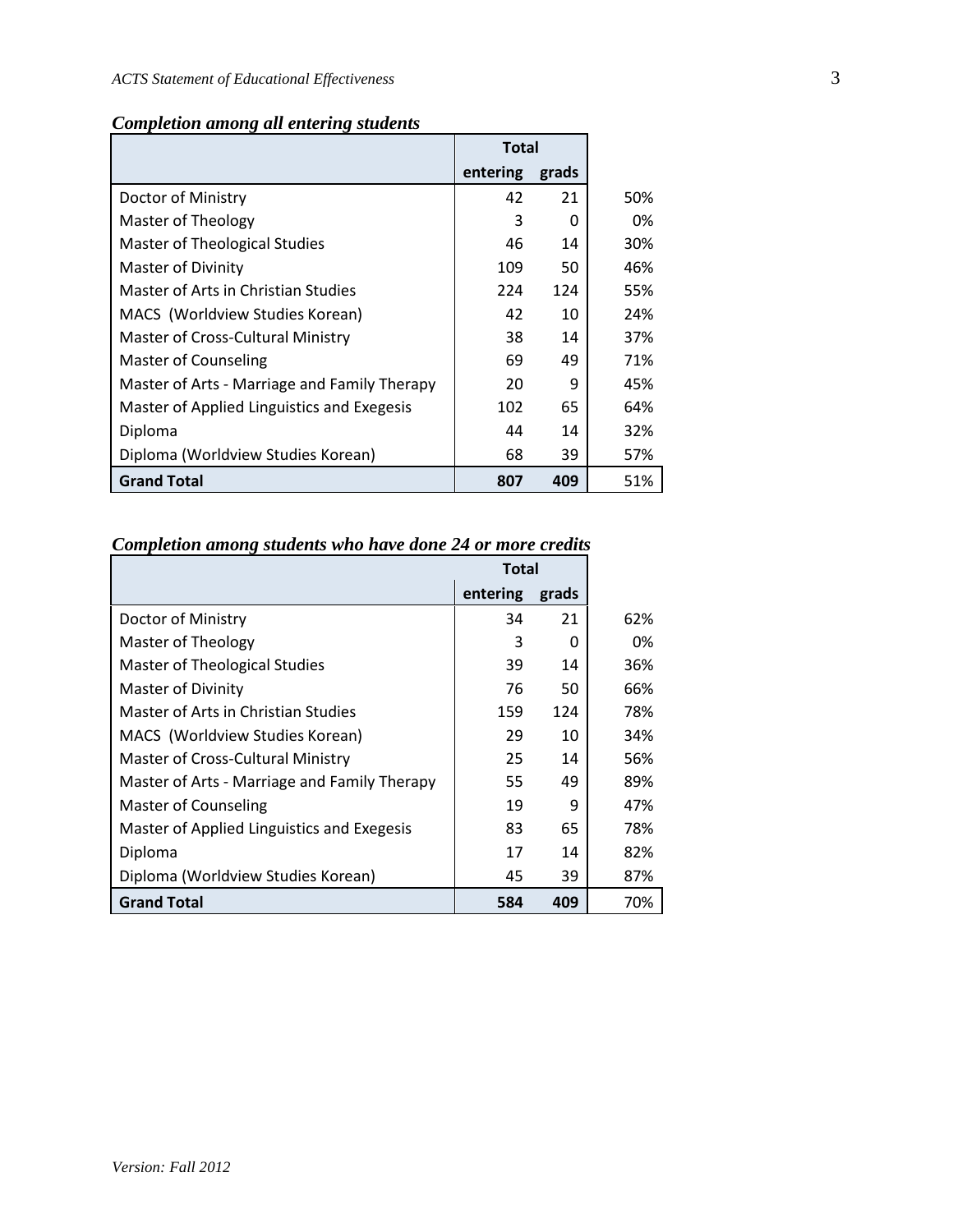| <b>Completion among all entering students</b> |  |  |  |  |
|-----------------------------------------------|--|--|--|--|
|-----------------------------------------------|--|--|--|--|

|                                              | <b>Total</b> |       |     |
|----------------------------------------------|--------------|-------|-----|
|                                              | entering     | grads |     |
| Doctor of Ministry                           | 42           | 21    | 50% |
| Master of Theology                           | 3            | 0     | 0%  |
| Master of Theological Studies                | 46           | 14    | 30% |
| Master of Divinity                           | 109          | 50    | 46% |
| Master of Arts in Christian Studies          | 224          | 124   | 55% |
| MACS (Worldview Studies Korean)              | 42           | 10    | 24% |
| Master of Cross-Cultural Ministry            | 38           | 14    | 37% |
| <b>Master of Counseling</b>                  | 69           | 49    | 71% |
| Master of Arts - Marriage and Family Therapy | 20           | 9     | 45% |
| Master of Applied Linguistics and Exegesis   | 102          | 65    | 64% |
| Diploma                                      | 44           | 14    | 32% |
| Diploma (Worldview Studies Korean)           | 68           | 39    | 57% |
| <b>Grand Total</b>                           | 807          | 409   | 51% |

# *Completion among students who have done 24 or more credits*

|                                              | <b>Total</b> |       |     |
|----------------------------------------------|--------------|-------|-----|
|                                              | entering     | grads |     |
| Doctor of Ministry                           | 34           | 21    | 62% |
| <b>Master of Theology</b>                    | 3            | 0     | 0%  |
| Master of Theological Studies                | 39           | 14    | 36% |
| Master of Divinity                           | 76           | 50    | 66% |
| Master of Arts in Christian Studies          | 159          | 124   | 78% |
| MACS (Worldview Studies Korean)              | 29           | 10    | 34% |
| Master of Cross-Cultural Ministry            | 25           | 14    | 56% |
| Master of Arts - Marriage and Family Therapy | 55           | 49    | 89% |
| <b>Master of Counseling</b>                  | 19           | 9     | 47% |
| Master of Applied Linguistics and Exegesis   | 83           | 65    | 78% |
| Diploma                                      | 17           | 14    | 82% |
| Diploma (Worldview Studies Korean)           | 45           | 39    | 87% |
| <b>Grand Total</b>                           | 584          | 409   | 70% |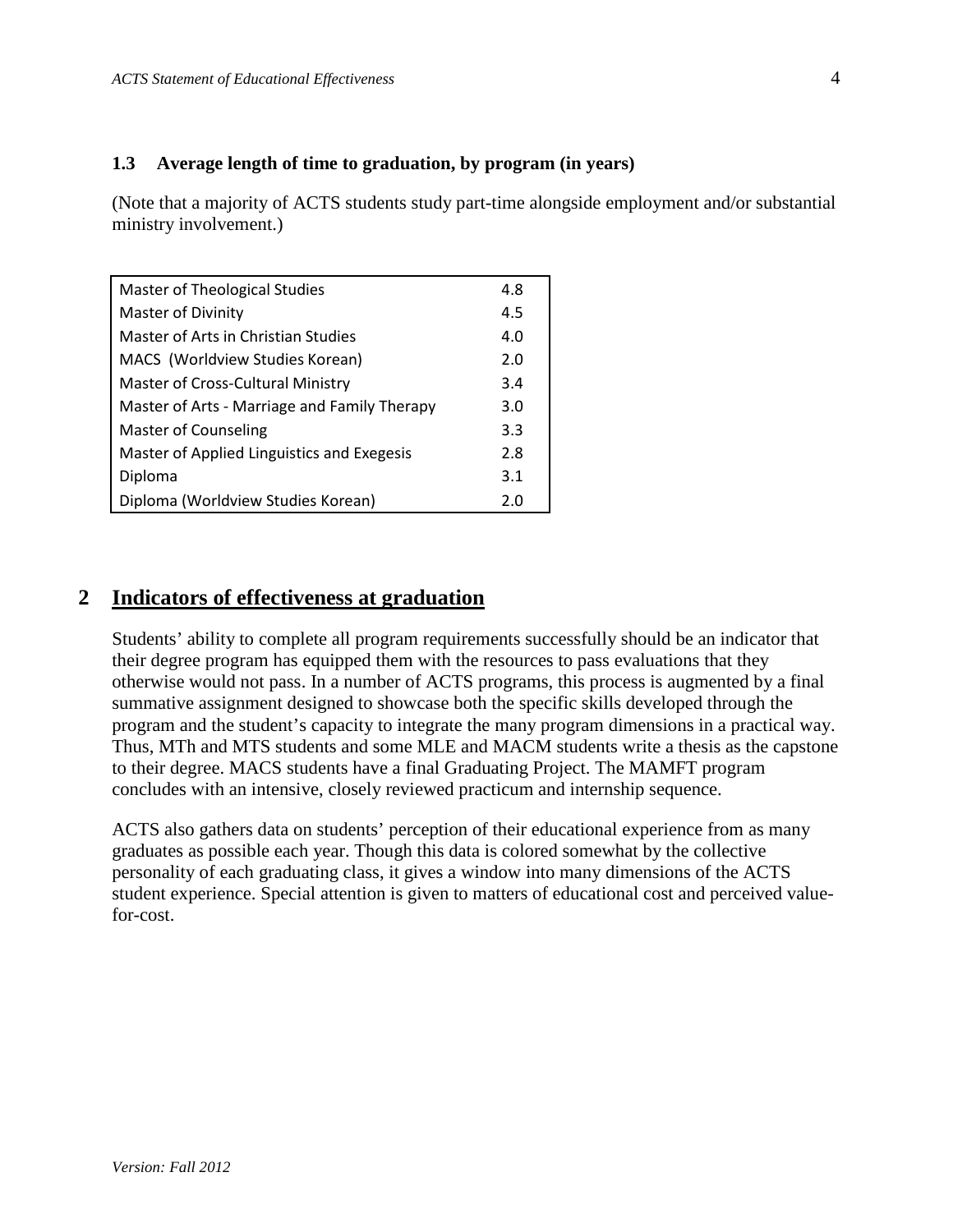#### **1.3 Average length of time to graduation, by program (in years)**

(Note that a majority of ACTS students study part-time alongside employment and/or substantial ministry involvement.)

| Master of Theological Studies                | 4.8 |
|----------------------------------------------|-----|
| Master of Divinity                           | 4.5 |
| Master of Arts in Christian Studies          | 4.0 |
| MACS (Worldview Studies Korean)              | 2.0 |
| Master of Cross-Cultural Ministry            | 3.4 |
| Master of Arts - Marriage and Family Therapy | 3.0 |
| <b>Master of Counseling</b>                  | 3.3 |
| Master of Applied Linguistics and Exegesis   | 2.8 |
| Diploma                                      | 3.1 |
| Diploma (Worldview Studies Korean)           | 2.0 |

# **2 Indicators of effectiveness at graduation**

Students' ability to complete all program requirements successfully should be an indicator that their degree program has equipped them with the resources to pass evaluations that they otherwise would not pass. In a number of ACTS programs, this process is augmented by a final summative assignment designed to showcase both the specific skills developed through the program and the student's capacity to integrate the many program dimensions in a practical way. Thus, MTh and MTS students and some MLE and MACM students write a thesis as the capstone to their degree. MACS students have a final Graduating Project. The MAMFT program concludes with an intensive, closely reviewed practicum and internship sequence.

ACTS also gathers data on students' perception of their educational experience from as many graduates as possible each year. Though this data is colored somewhat by the collective personality of each graduating class, it gives a window into many dimensions of the ACTS student experience. Special attention is given to matters of educational cost and perceived valuefor-cost.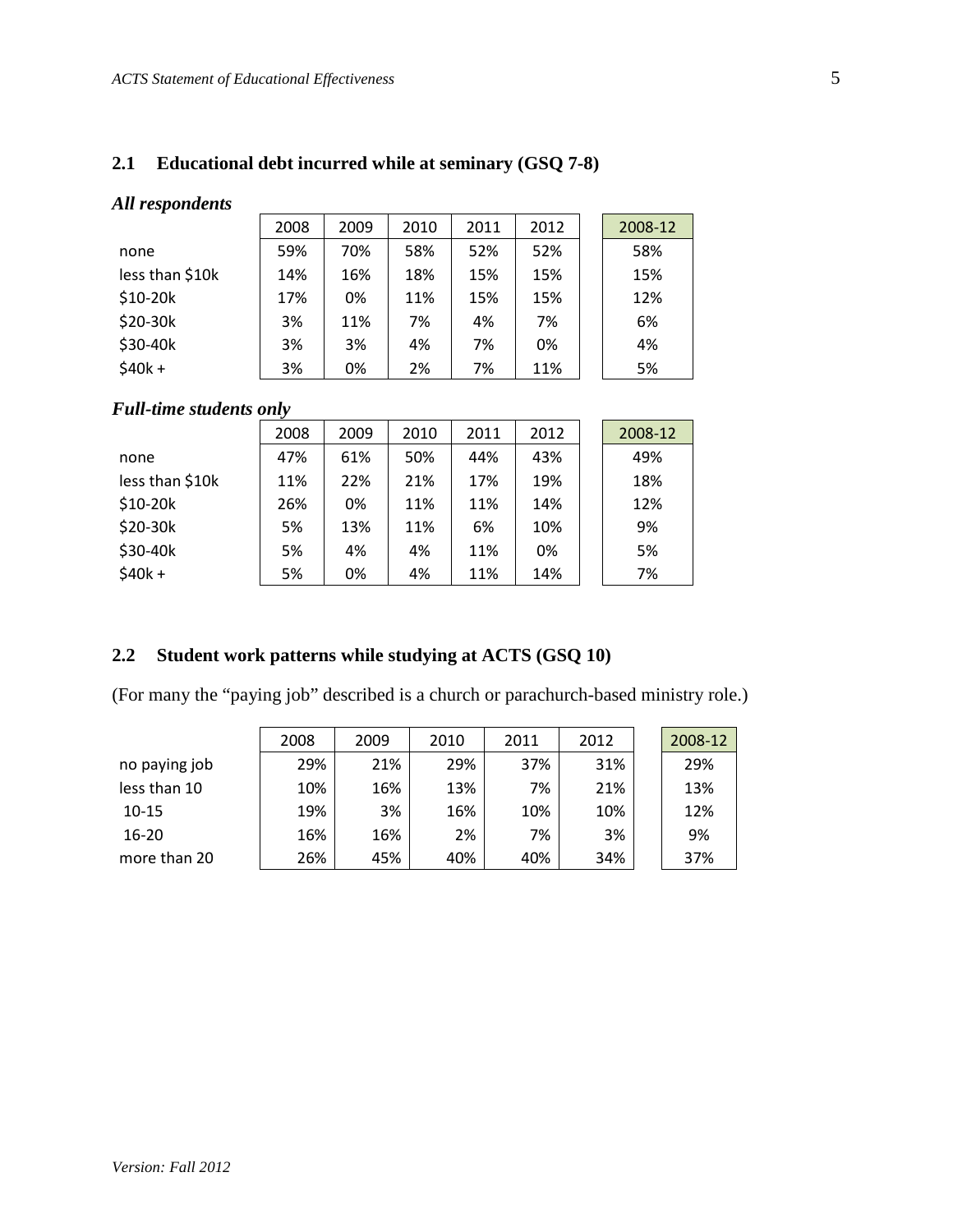#### **2.1 Educational debt incurred while at seminary (GSQ 7-8)**

#### *All respondents*

|                 | 2008 | 2009 | 2010 | 2011 | 2012 | 2008-12 |
|-----------------|------|------|------|------|------|---------|
| none            | 59%  | 70%  | 58%  | 52%  | 52%  | 58%     |
| less than \$10k | 14%  | 16%  | 18%  | 15%  | 15%  | 15%     |
| $$10-20k$       | 17%  | 0%   | 11%  | 15%  | 15%  | 12%     |
| \$20-30k        | 3%   | 11%  | 7%   | 4%   | 7%   | 6%      |
| \$30-40k        | 3%   | 3%   | 4%   | 7%   | 0%   | 4%      |
| $$40k +$        | 3%   | 0%   | 2%   | 7%   | 11%  | 5%      |

### *Full-time students only*

|                 | 2008 | 2009 | 2010 | 2011 | 2012 | 2008-12 |
|-----------------|------|------|------|------|------|---------|
| none            | 47%  | 61%  | 50%  | 44%  | 43%  | 49%     |
| less than \$10k | 11%  | 22%  | 21%  | 17%  | 19%  | 18%     |
| $$10-20k$       | 26%  | 0%   | 11%  | 11%  | 14%  | 12%     |
| \$20-30k        | 5%   | 13%  | 11%  | 6%   | 10%  | 9%      |
| \$30-40k        | 5%   | 4%   | 4%   | 11%  | 0%   | 5%      |
| $$40k +$        | 5%   | 0%   | 4%   | 11%  | 14%  | 7%      |

#### **2.2 Student work patterns while studying at ACTS (GSQ 10)**

(For many the "paying job" described is a church or parachurch-based ministry role.)

|               | 2008 | 2009 | 2010 | 2011 | 2012 | 2008-12 |
|---------------|------|------|------|------|------|---------|
| no paying job | 29%  | 21%  | 29%  | 37%  | 31%  | 29%     |
| less than 10  | 10%  | 16%  | 13%  | 7%   | 21%  | 13%     |
| $10 - 15$     | 19%  | 3%   | 16%  | 10%  | 10%  | 12%     |
| $16 - 20$     | 16%  | 16%  | 2%   | 7%   | 3%   | 9%      |
| more than 20  | 26%  | 45%  | 40%  | 40%  | 34%  | 37%     |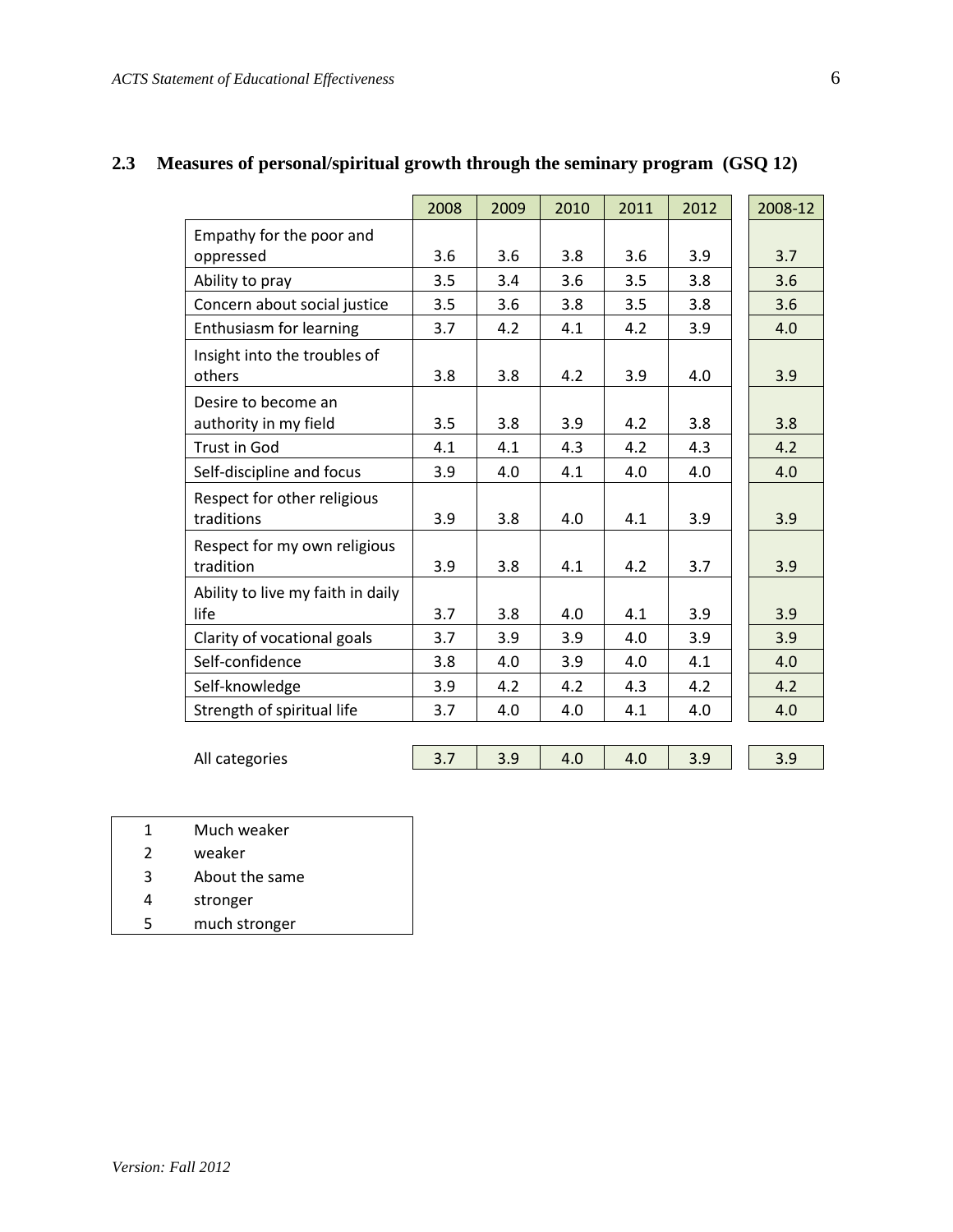|                                   | 2008 | 2009 | 2010 | 2011 | 2012 | 2008-12 |
|-----------------------------------|------|------|------|------|------|---------|
| Empathy for the poor and          |      |      |      |      |      |         |
| oppressed                         | 3.6  | 3.6  | 3.8  | 3.6  | 3.9  | 3.7     |
| Ability to pray                   | 3.5  | 3.4  | 3.6  | 3.5  | 3.8  | 3.6     |
| Concern about social justice      | 3.5  | 3.6  | 3.8  | 3.5  | 3.8  | 3.6     |
| Enthusiasm for learning           | 3.7  | 4.2  | 4.1  | 4.2  | 3.9  | 4.0     |
| Insight into the troubles of      |      |      |      |      |      |         |
| others                            | 3.8  | 3.8  | 4.2  | 3.9  | 4.0  | 3.9     |
| Desire to become an               |      |      |      |      |      |         |
| authority in my field             | 3.5  | 3.8  | 3.9  | 4.2  | 3.8  | 3.8     |
| <b>Trust in God</b>               | 4.1  | 4.1  | 4.3  | 4.2  | 4.3  | 4.2     |
| Self-discipline and focus         | 3.9  | 4.0  | 4.1  | 4.0  | 4.0  | 4.0     |
| Respect for other religious       |      |      |      |      |      |         |
| traditions                        | 3.9  | 3.8  | 4.0  | 4.1  | 3.9  | 3.9     |
| Respect for my own religious      |      |      |      |      |      |         |
| tradition                         | 3.9  | 3.8  | 4.1  | 4.2  | 3.7  | 3.9     |
| Ability to live my faith in daily |      |      |      |      |      |         |
| life                              | 3.7  | 3.8  | 4.0  | 4.1  | 3.9  | 3.9     |
| Clarity of vocational goals       | 3.7  | 3.9  | 3.9  | 4.0  | 3.9  | 3.9     |
| Self-confidence                   | 3.8  | 4.0  | 3.9  | 4.0  | 4.1  | 4.0     |
| Self-knowledge                    | 3.9  | 4.2  | 4.2  | 4.3  | 4.2  | 4.2     |
| Strength of spiritual life        | 3.7  | 4.0  | 4.0  | 4.1  | 4.0  | 4.0     |

# **2.3 Measures of personal/spiritual growth through the seminary program (GSQ 12)**

| All categories | - - | $\mathbf{v}$<br>$\cdot\,$ | J.J | <u>.</u> |
|----------------|-----|---------------------------|-----|----------|

- 1 Much weaker
- 2 weaker
- 3 About the same
- 4 stronger
- 5 much stronger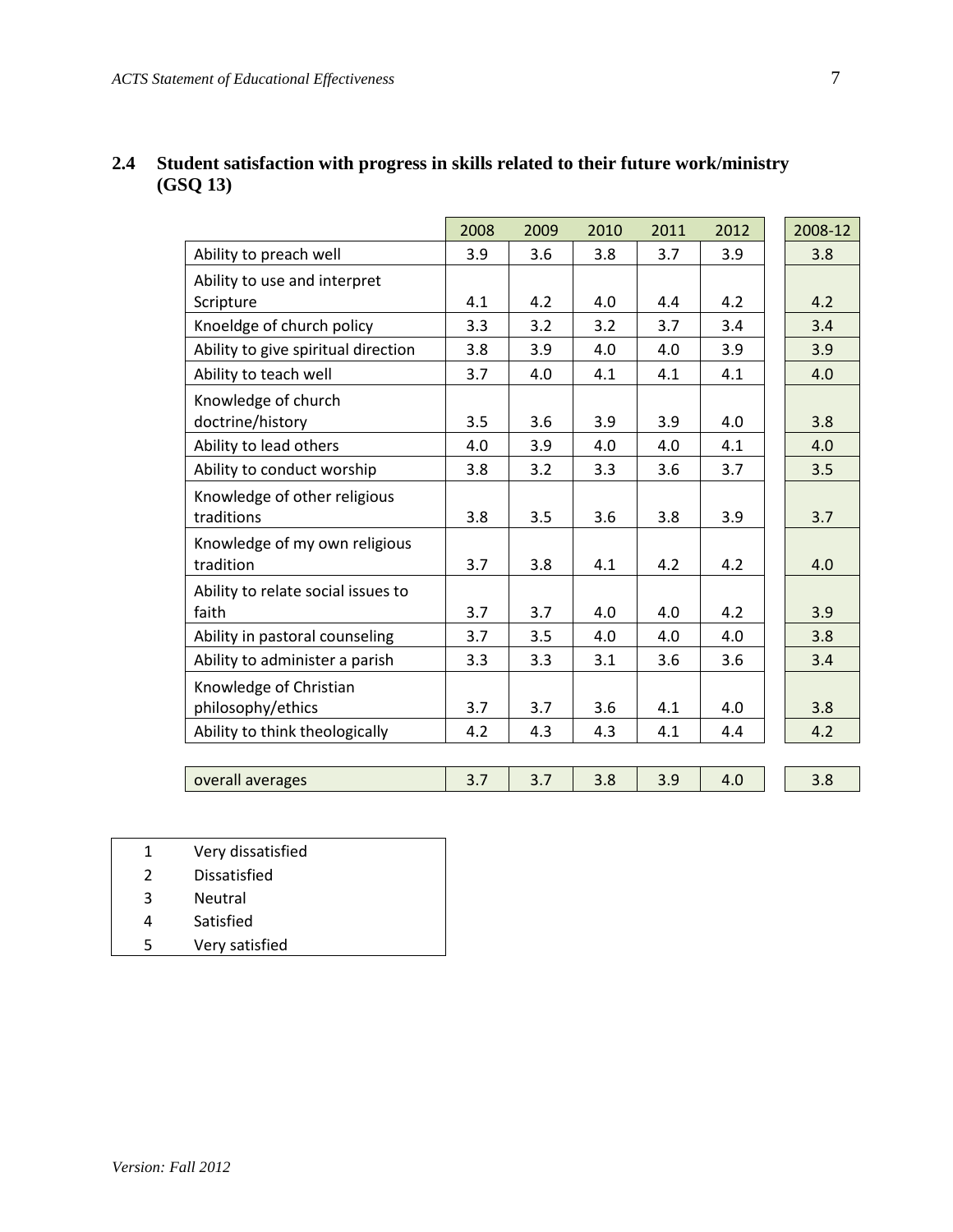|                                     | 2008 | 2009 | 2010 | 2011 | 2012 | 2008-12 |
|-------------------------------------|------|------|------|------|------|---------|
| Ability to preach well              | 3.9  | 3.6  | 3.8  | 3.7  | 3.9  | 3.8     |
| Ability to use and interpret        |      |      |      |      |      |         |
| Scripture                           | 4.1  | 4.2  | 4.0  | 4.4  | 4.2  | 4.2     |
| Knoeldge of church policy           | 3.3  | 3.2  | 3.2  | 3.7  | 3.4  | 3.4     |
| Ability to give spiritual direction | 3.8  | 3.9  | 4.0  | 4.0  | 3.9  | 3.9     |
| Ability to teach well               | 3.7  | 4.0  | 4.1  | 4.1  | 4.1  | 4.0     |
| Knowledge of church                 |      |      |      |      |      |         |
| doctrine/history                    | 3.5  | 3.6  | 3.9  | 3.9  | 4.0  | 3.8     |
| Ability to lead others              | 4.0  | 3.9  | 4.0  | 4.0  | 4.1  | 4.0     |
| Ability to conduct worship          | 3.8  | 3.2  | 3.3  | 3.6  | 3.7  | 3.5     |
| Knowledge of other religious        |      |      |      |      |      |         |
| traditions                          | 3.8  | 3.5  | 3.6  | 3.8  | 3.9  | 3.7     |
| Knowledge of my own religious       |      |      |      |      |      |         |
| tradition                           | 3.7  | 3.8  | 4.1  | 4.2  | 4.2  | 4.0     |
| Ability to relate social issues to  |      |      |      |      |      |         |
| faith                               | 3.7  | 3.7  | 4.0  | 4.0  | 4.2  | 3.9     |
| Ability in pastoral counseling      | 3.7  | 3.5  | 4.0  | 4.0  | 4.0  | 3.8     |
| Ability to administer a parish      | 3.3  | 3.3  | 3.1  | 3.6  | 3.6  | 3.4     |
| Knowledge of Christian              |      |      |      |      |      |         |
| philosophy/ethics                   | 3.7  | 3.7  | 3.6  | 4.1  | 4.0  | 3.8     |
| Ability to think theologically      | 4.2  | 4.3  | 4.3  | 4.1  | 4.4  | 4.2     |
|                                     |      |      |      |      |      |         |
| overall averages                    | 3.7  | 3.7  | 3.8  | 3.9  | 4.0  | 3.8     |

# **2.4 Student satisfaction with progress in skills related to their future work/ministry (GSQ 13)**

- 1 Very dissatisfied
- 2 Dissatisfied
- 3 Neutral
- 4 Satisfied
- 5 Very satisfied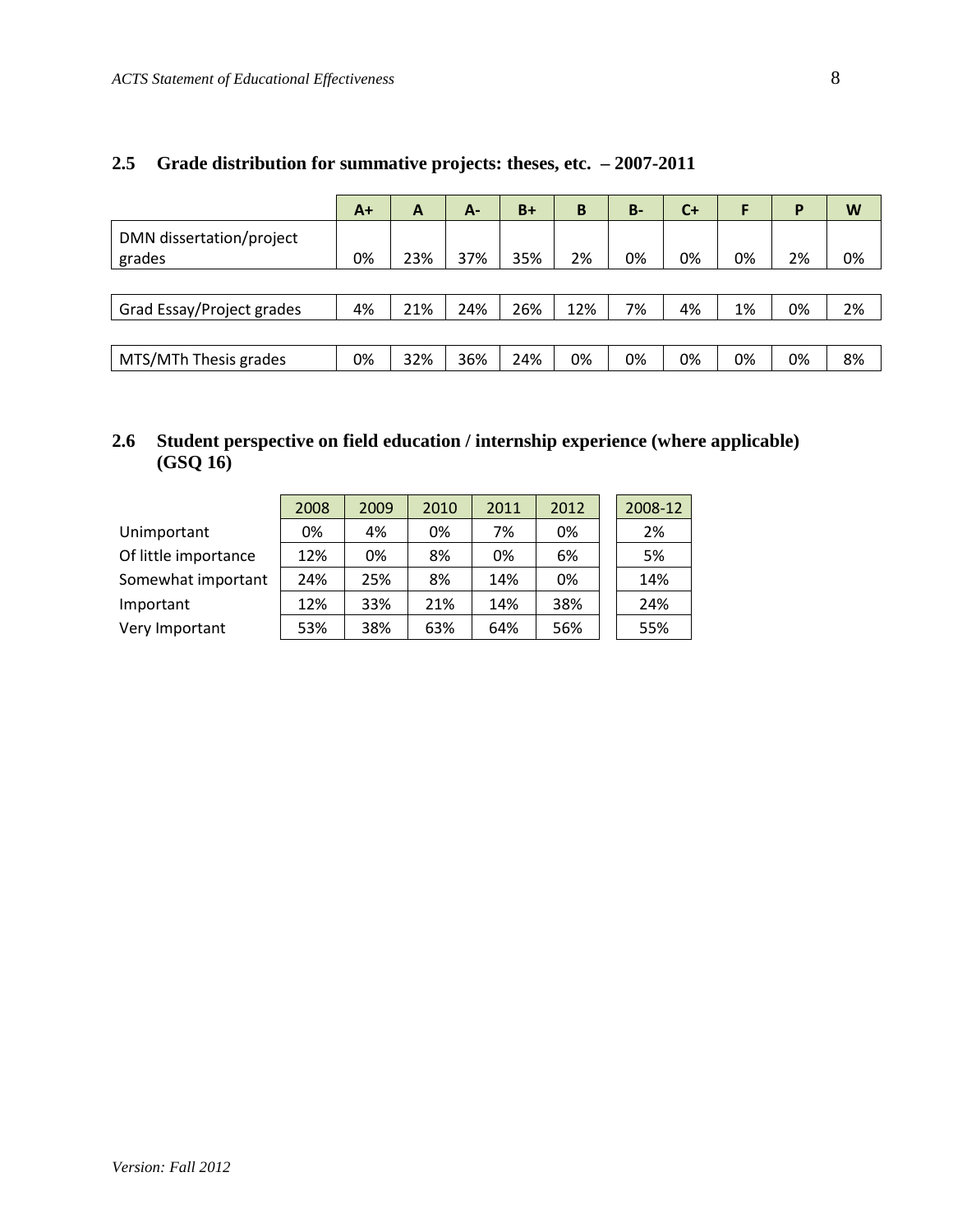#### **2.5 Grade distribution for summative projects: theses, etc. – 2007-2011**

|                                    | $A+$ | A   | A-  | $B+$ | B   | $B -$ | $C+$ |    | P  | W  |
|------------------------------------|------|-----|-----|------|-----|-------|------|----|----|----|
| DMN dissertation/project<br>grades | 0%   | 23% | 37% | 35%  | 2%  | 0%    | 0%   | 0% | 2% | 0% |
|                                    |      |     |     |      |     |       |      |    |    |    |
| Grad Essay/Project grades          | 4%   | 21% | 24% | 26%  | 12% | 7%    | 4%   | 1% | 0% | 2% |
|                                    |      |     |     |      |     |       |      |    |    |    |
| MTS/MTh Thesis grades              | 0%   | 32% | 36% | 24%  | 0%  | 0%    | 0%   | 0% | 0% | 8% |

### **2.6 Student perspective on field education / internship experience (where applicable) (GSQ 16)**

|                      | 2008 | 2009 | 2010 | 2011 | 2012 | 2008-12 |
|----------------------|------|------|------|------|------|---------|
| Unimportant          | 0%   | 4%   | 0%   | 7%   | 0%   | 2%      |
| Of little importance | 12%  | 0%   | 8%   | 0%   | 6%   | 5%      |
| Somewhat important   | 24%  | 25%  | 8%   | 14%  | 0%   | 14%     |
| Important            | 12%  | 33%  | 21%  | 14%  | 38%  | 24%     |
| Very Important       | 53%  | 38%  | 63%  | 64%  | 56%  | 55%     |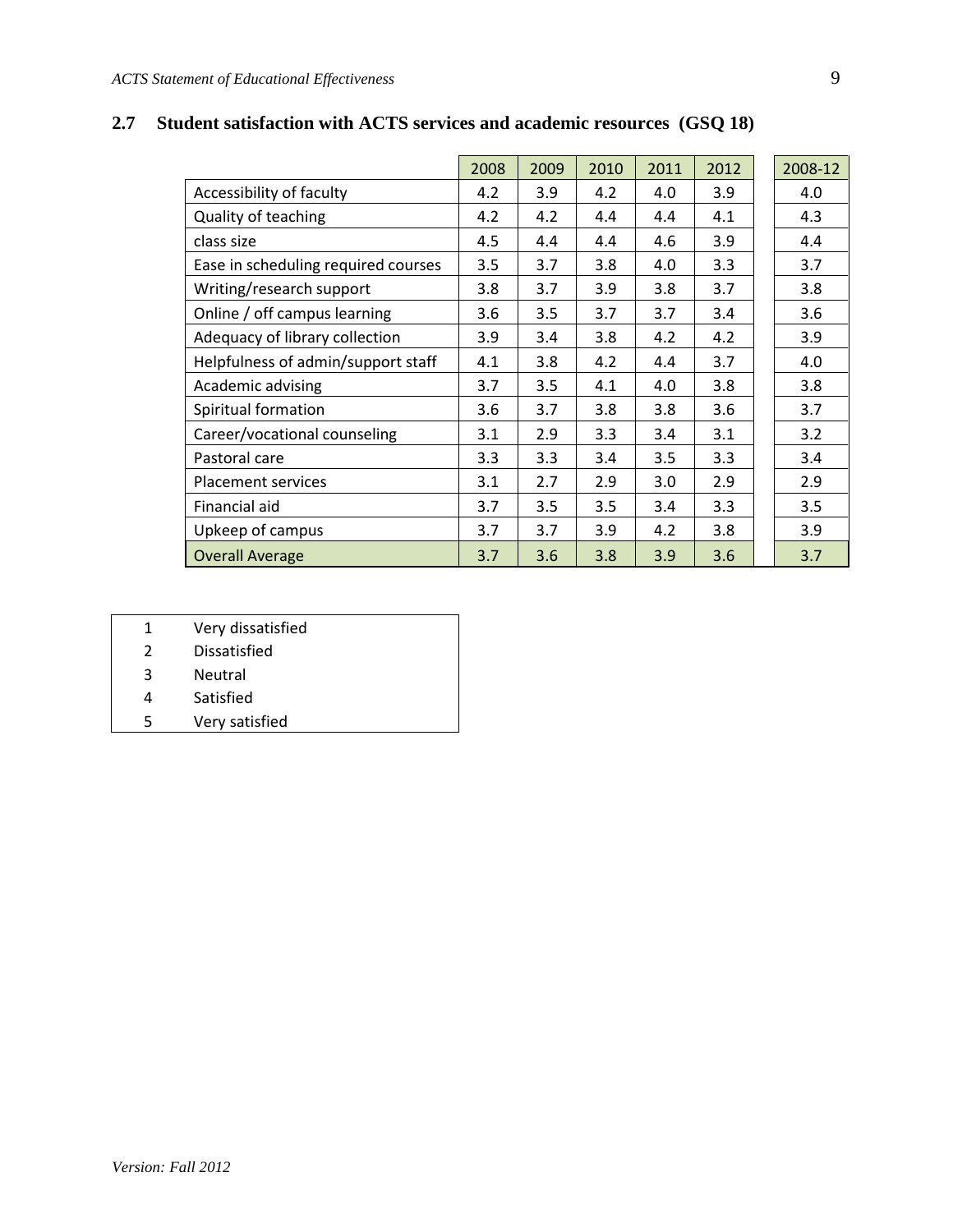|                                     | 2008 | 2009             | 2010 | 2011 | 2012 | 2008-12 |
|-------------------------------------|------|------------------|------|------|------|---------|
| Accessibility of faculty            | 4.2  | 3.9              | 4.2  | 4.0  | 3.9  | 4.0     |
| <b>Quality of teaching</b>          | 4.2  | 4.2              | 4.4  | 4.4  | 4.1  | 4.3     |
| class size                          | 4.5  | 4.4              | 4.4  | 4.6  | 3.9  | 4.4     |
| Ease in scheduling required courses | 3.5  | 3.7              | 3.8  | 4.0  | 3.3  | 3.7     |
| Writing/research support            | 3.8  | 3.7              | 3.9  | 3.8  | 3.7  | 3.8     |
| Online / off campus learning        | 3.6  | 3.5              | 3.7  | 3.7  | 3.4  | 3.6     |
| Adequacy of library collection      | 3.9  | 3.4              | 3.8  | 4.2  | 4.2  | 3.9     |
| Helpfulness of admin/support staff  | 4.1  | 3.8              | 4.2  | 4.4  | 3.7  | 4.0     |
| Academic advising                   | 3.7  | 3.5              | 4.1  | 4.0  | 3.8  | 3.8     |
| Spiritual formation                 | 3.6  | 3.7              | 3.8  | 3.8  | 3.6  | 3.7     |
| Career/vocational counseling        | 3.1  | 2.9              | 3.3  | 3.4  | 3.1  | 3.2     |
| Pastoral care                       | 3.3  | $3.3\phantom{0}$ | 3.4  | 3.5  | 3.3  | 3.4     |
| <b>Placement services</b>           | 3.1  | 2.7              | 2.9  | 3.0  | 2.9  | 2.9     |
| Financial aid                       | 3.7  | 3.5              | 3.5  | 3.4  | 3.3  | 3.5     |
| Upkeep of campus                    | 3.7  | 3.7              | 3.9  | 4.2  | 3.8  | 3.9     |
| <b>Overall Average</b>              | 3.7  | 3.6              | 3.8  | 3.9  | 3.6  | 3.7     |

# **2.7 Student satisfaction with ACTS services and academic resources (GSQ 18)**

- 1 Very dissatisfied
- 2 Dissatisfied
- 3 Neutral
- 4 Satisfied
- 5 Very satisfied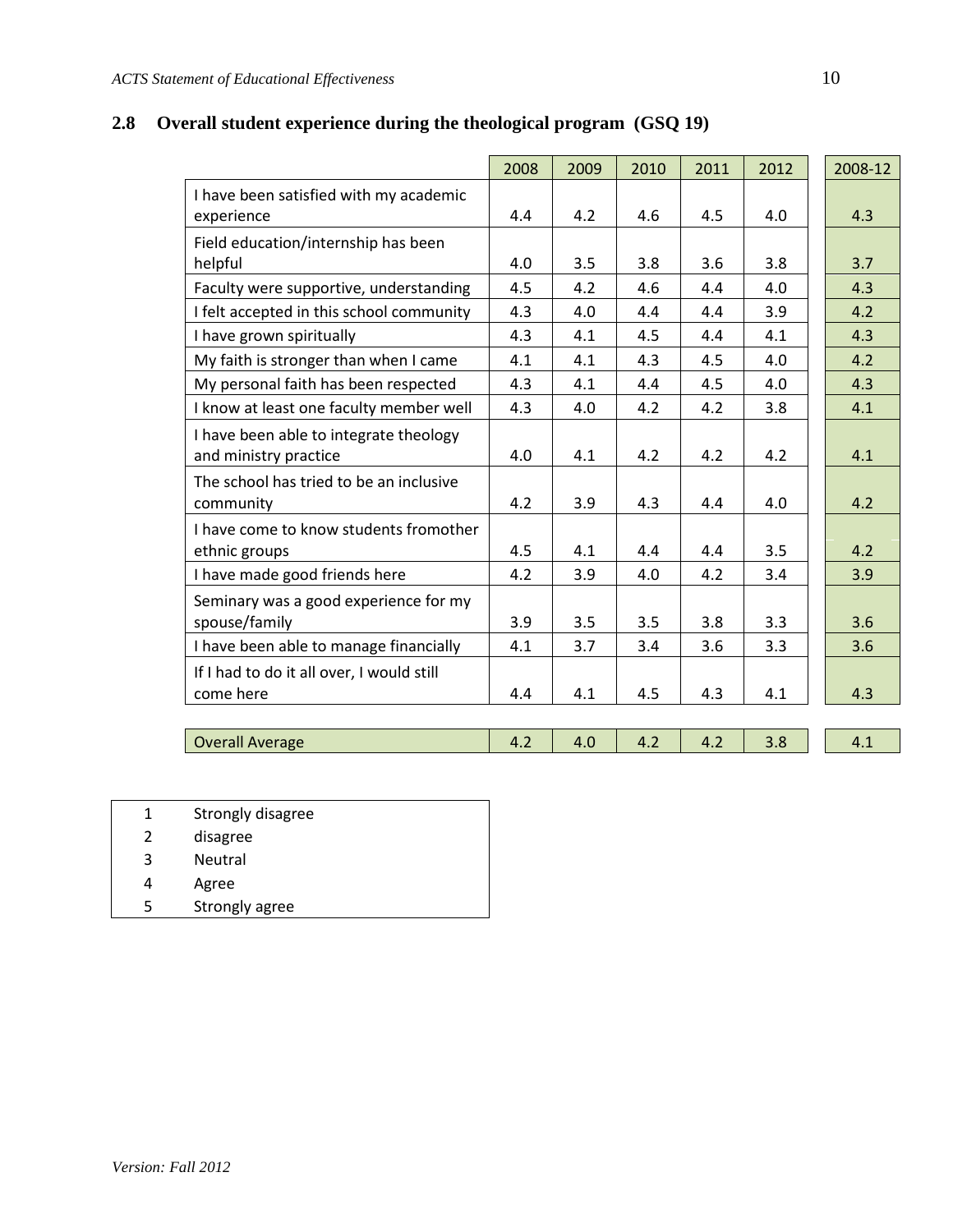# **2.8 Overall student experience during the theological program (GSQ 19)**

|                                                                 | 2008 | 2009 | 2010 | 2011 | 2012 | 2008-12 |
|-----------------------------------------------------------------|------|------|------|------|------|---------|
| I have been satisfied with my academic<br>experience            | 4.4  | 4.2  | 4.6  | 4.5  | 4.0  | 4.3     |
| Field education/internship has been                             |      |      |      |      |      |         |
| helpful                                                         | 4.0  | 3.5  | 3.8  | 3.6  | 3.8  | 3.7     |
| Faculty were supportive, understanding                          | 4.5  | 4.2  | 4.6  | 4.4  | 4.0  | 4.3     |
| I felt accepted in this school community                        | 4.3  | 4.0  | 4.4  | 4.4  | 3.9  | 4.2     |
| I have grown spiritually                                        | 4.3  | 4.1  | 4.5  | 4.4  | 4.1  | 4.3     |
| My faith is stronger than when I came                           | 4.1  | 4.1  | 4.3  | 4.5  | 4.0  | 4.2     |
| My personal faith has been respected                            | 4.3  | 4.1  | 4.4  | 4.5  | 4.0  | 4.3     |
| I know at least one faculty member well                         | 4.3  | 4.0  | 4.2  | 4.2  | 3.8  | 4.1     |
| I have been able to integrate theology<br>and ministry practice | 4.0  | 4.1  | 4.2  | 4.2  | 4.2  | 4.1     |
| The school has tried to be an inclusive<br>community            | 4.2  | 3.9  | 4.3  | 4.4  | 4.0  | 4.2     |
| I have come to know students fromother<br>ethnic groups         | 4.5  | 4.1  | 4.4  | 4.4  | 3.5  | 4.2     |
| I have made good friends here                                   | 4.2  | 3.9  | 4.0  | 4.2  | 3.4  | 3.9     |
| Seminary was a good experience for my<br>spouse/family          | 3.9  | 3.5  | 3.5  | 3.8  | 3.3  | 3.6     |
| I have been able to manage financially                          | 4.1  | 3.7  | 3.4  | 3.6  | 3.3  | 3.6     |
| If I had to do it all over, I would still<br>come here          | 4.4  | 4.1  | 4.5  | 4.3  | 4.1  | 4.3     |
|                                                                 |      |      |      |      |      |         |
| <b>Overall Average</b>                                          | 4.2  | 4.0  | 4.2  | 4.2  | 3.8  | 4.1     |

| 1             | Strongly disagree |
|---------------|-------------------|
| $\mathcal{L}$ | disagree          |
| 3             | <b>Neutral</b>    |
| 4             | Agree             |
| 5             | Strongly agree    |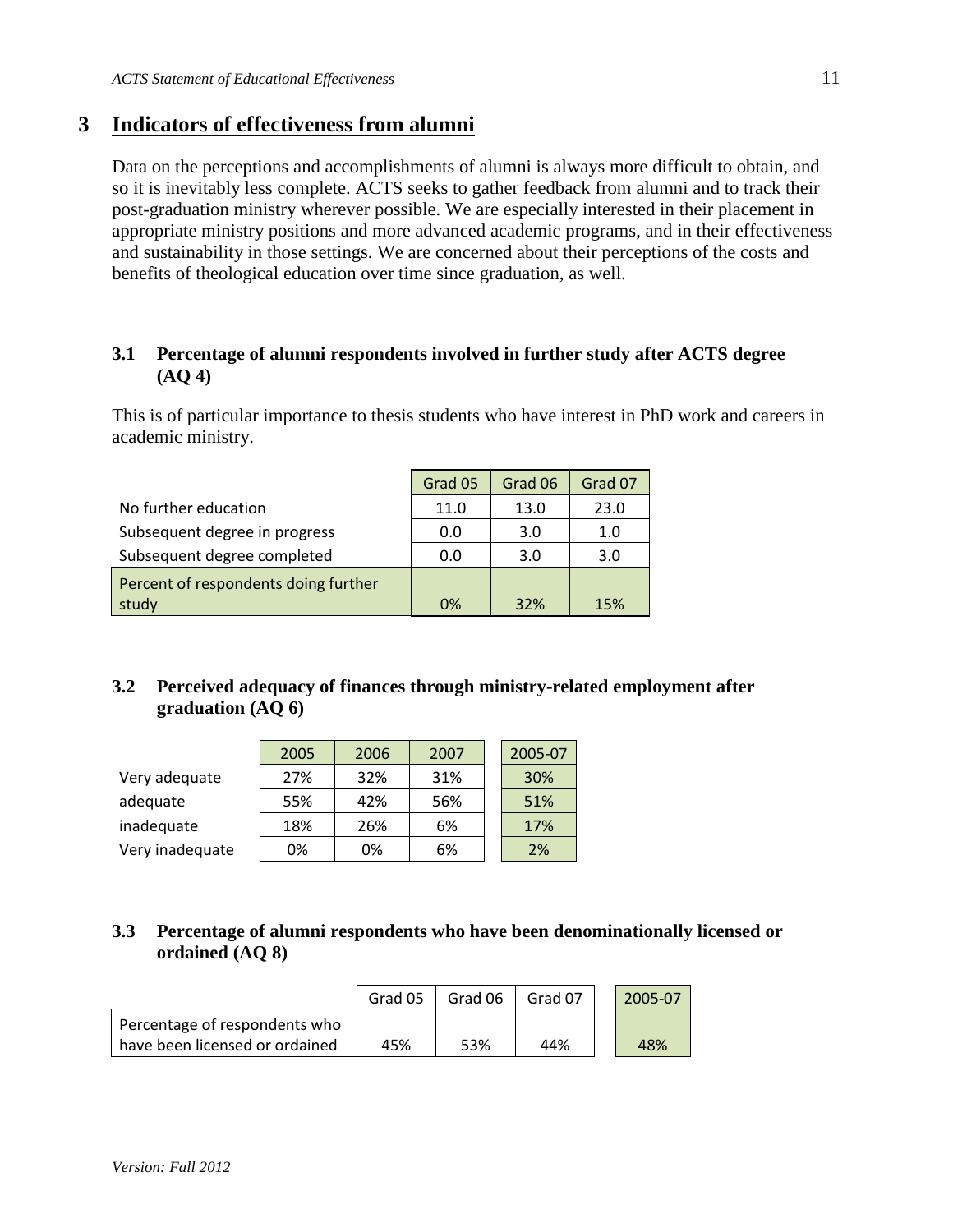## **3 Indicators of effectiveness from alumni**

Data on the perceptions and accomplishments of alumni is always more difficult to obtain, and so it is inevitably less complete. ACTS seeks to gather feedback from alumni and to track their post-graduation ministry wherever possible. We are especially interested in their placement in appropriate ministry positions and more advanced academic programs, and in their effectiveness and sustainability in those settings. We are concerned about their perceptions of the costs and benefits of theological education over time since graduation, as well.

#### **3.1 Percentage of alumni respondents involved in further study after ACTS degree (AQ 4)**

This is of particular importance to thesis students who have interest in PhD work and careers in academic ministry.

|                                      | Grad 05 | Grad 06 | Grad 07 |
|--------------------------------------|---------|---------|---------|
| No further education                 | 11.0    | 13.0    | 23.0    |
| Subsequent degree in progress        | 0.0     | 3.0     | 1.0     |
| Subsequent degree completed          | 0.0     | 3.0     | 3.0     |
| Percent of respondents doing further |         |         |         |
| study                                | 0%      | 32%     | 15%     |

### **3.2 Perceived adequacy of finances through ministry-related employment after graduation (AQ 6)**

|                 | 2005 | 2006 | 2007 | 2005-07 |
|-----------------|------|------|------|---------|
| Very adequate   | 27%  | 32%  | 31%  | 30%     |
| adequate        | 55%  | 42%  | 56%  | 51%     |
| inadequate      | 18%  | 26%  | 6%   | 17%     |
| Very inadequate | 0%   | 0%   | 6%   | 2%      |

## **3.3 Percentage of alumni respondents who have been denominationally licensed or ordained (AQ 8)**

|                                | Grad 05 | Grad 06 | Grad 07 | 2005-07 |
|--------------------------------|---------|---------|---------|---------|
| Percentage of respondents who  |         |         |         |         |
| have been licensed or ordained | 45%     | 53%     | 44%     | 48%     |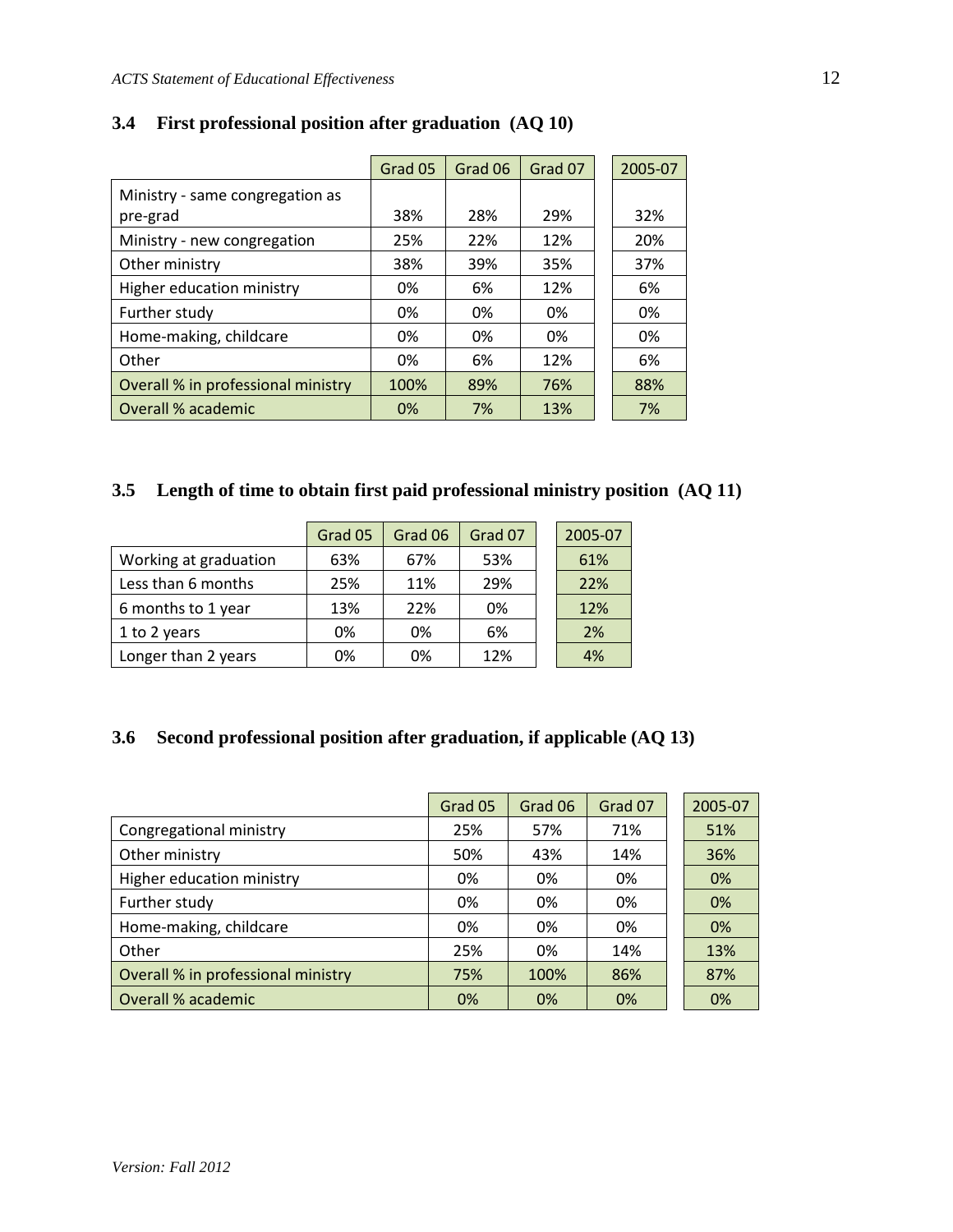|                                    | Grad 05 | Grad 06 | Grad 07 | 2005-07 |
|------------------------------------|---------|---------|---------|---------|
| Ministry - same congregation as    |         |         |         |         |
| pre-grad                           | 38%     | 28%     | 29%     | 32%     |
| Ministry - new congregation        | 25%     | 22%     | 12%     | 20%     |
| Other ministry                     | 38%     | 39%     | 35%     | 37%     |
| Higher education ministry          | 0%      | 6%      | 12%     | 6%      |
| Further study                      | 0%      | 0%      | 0%      | 0%      |
| Home-making, childcare             | 0%      | 0%      | 0%      | 0%      |
| Other                              | 0%      | 6%      | 12%     | 6%      |
| Overall % in professional ministry | 100%    | 89%     | 76%     | 88%     |
| Overall % academic                 | 0%      | 7%      | 13%     | 7%      |

# **3.4 First professional position after graduation (AQ 10)**

# **3.5 Length of time to obtain first paid professional ministry position (AQ 11)**

|                       | Grad 05 | Grad 06 | Grad 07 | 2005-07 |
|-----------------------|---------|---------|---------|---------|
| Working at graduation | 63%     | 67%     | 53%     | 61%     |
| Less than 6 months    | 25%     | 11%     | 29%     | 22%     |
| 6 months to 1 year    | 13%     | 22%     | 0%      | 12%     |
| 1 to 2 years          | 0%      | 0%      | 6%      | 2%      |
| Longer than 2 years   | 0%      | 0%      | 12%     | 4%      |

### **3.6 Second professional position after graduation, if applicable (AQ 13)**

|                                    | Grad 05 | Grad 06 | Grad 07 | 2005-07 |
|------------------------------------|---------|---------|---------|---------|
| Congregational ministry            | 25%     | 57%     | 71%     | 51%     |
| Other ministry                     | 50%     | 43%     | 14%     | 36%     |
| Higher education ministry          | 0%      | 0%      | 0%      | 0%      |
| Further study                      | 0%      | 0%      | 0%      | 0%      |
| Home-making, childcare             | 0%      | 0%      | 0%      | 0%      |
| Other                              | 25%     | 0%      | 14%     | 13%     |
| Overall % in professional ministry | 75%     | 100%    | 86%     | 87%     |
| Overall % academic                 | 0%      | 0%      | 0%      | 0%      |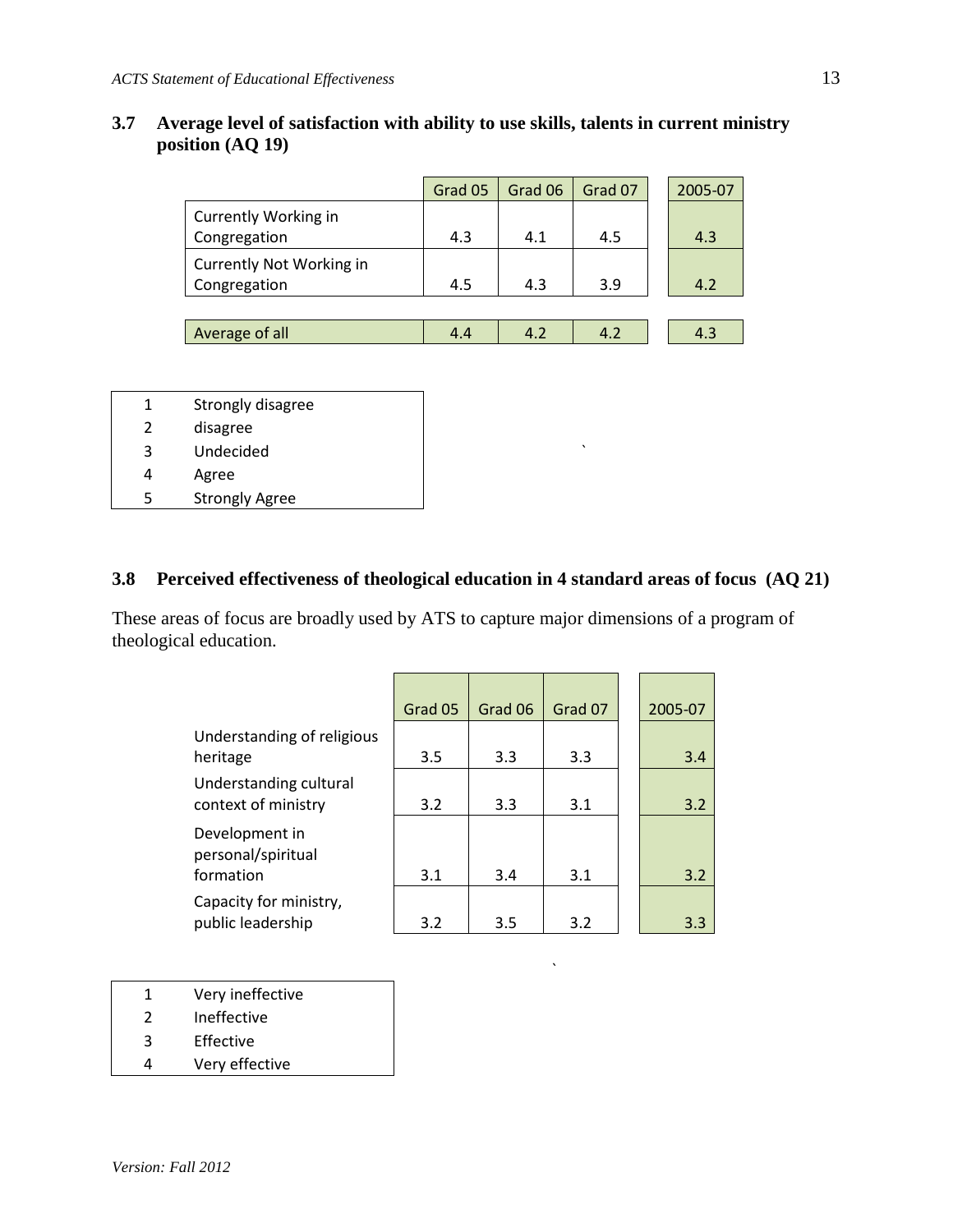#### **3.7 Average level of satisfaction with ability to use skills, talents in current ministry position (AQ 19)**

|                                             | Grad 05 | Grad 06 | Grad 07 | 2005-07 |
|---------------------------------------------|---------|---------|---------|---------|
| <b>Currently Working in</b><br>Congregation | 4.3     | 4.1     | 4.5     | 4.3     |
| Currently Not Working in<br>Congregation    | 4.5     | 4.3     | 3.9     | 4.2     |
|                                             |         |         |         |         |
| Average of all                              | 4.4     | 4.2     | 4.2     | 4.3     |

| 1 | Strongly disagree     |  |
|---|-----------------------|--|
| 2 | disagree              |  |
| 3 | Undecided             |  |
| 4 | Agree                 |  |
| 5 | <b>Strongly Agree</b> |  |

#### **3.8 Perceived effectiveness of theological education in 4 standard areas of focus (AQ 21)**

These areas of focus are broadly used by ATS to capture major dimensions of a program of theological education.

|                                                   | Grad 05 | Grad 06 | Grad 07 | 2005-07 |
|---------------------------------------------------|---------|---------|---------|---------|
| Understanding of religious<br>heritage            | 3.5     | 3.3     | 3.3     | 3.4     |
| Understanding cultural<br>context of ministry     | 3.2     | 3.3     | 3.1     | 3.2     |
| Development in<br>personal/spiritual<br>formation | 3.1     | 3.4     | 3.1     | 3.2     |
|                                                   |         |         |         |         |
| Capacity for ministry,<br>public leadership       | 3.2     | 3.5     | 3.2     | 3.3     |

`

- 1 Very ineffective
- 2 Ineffective
- 3 Effective
- 4 Very effective